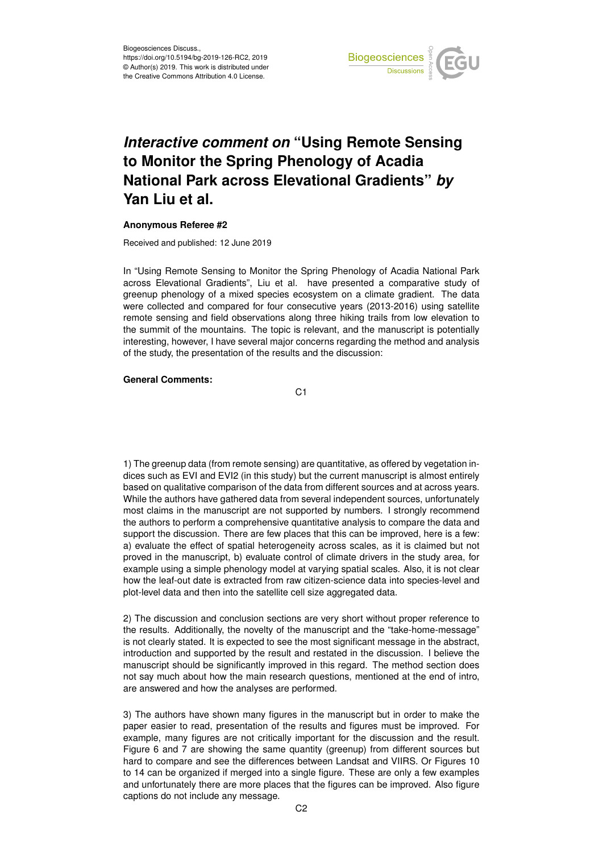

## *Interactive comment on* **"Using Remote Sensing to Monitor the Spring Phenology of Acadia National Park across Elevational Gradients"** *by* **Yan Liu et al.**

## **Anonymous Referee #2**

Received and published: 12 June 2019

In "Using Remote Sensing to Monitor the Spring Phenology of Acadia National Park across Elevational Gradients", Liu et al. have presented a comparative study of greenup phenology of a mixed species ecosystem on a climate gradient. The data were collected and compared for four consecutive years (2013-2016) using satellite remote sensing and field observations along three hiking trails from low elevation to the summit of the mountains. The topic is relevant, and the manuscript is potentially interesting, however, I have several major concerns regarding the method and analysis of the study, the presentation of the results and the discussion:

## **General Comments:**

C1

1) The greenup data (from remote sensing) are quantitative, as offered by vegetation indices such as EVI and EVI2 (in this study) but the current manuscript is almost entirely based on qualitative comparison of the data from different sources and at across years. While the authors have gathered data from several independent sources, unfortunately most claims in the manuscript are not supported by numbers. I strongly recommend the authors to perform a comprehensive quantitative analysis to compare the data and support the discussion. There are few places that this can be improved, here is a few: a) evaluate the effect of spatial heterogeneity across scales, as it is claimed but not proved in the manuscript, b) evaluate control of climate drivers in the study area, for example using a simple phenology model at varying spatial scales. Also, it is not clear how the leaf-out date is extracted from raw citizen-science data into species-level and plot-level data and then into the satellite cell size aggregated data.

2) The discussion and conclusion sections are very short without proper reference to the results. Additionally, the novelty of the manuscript and the "take-home-message" is not clearly stated. It is expected to see the most significant message in the abstract, introduction and supported by the result and restated in the discussion. I believe the manuscript should be significantly improved in this regard. The method section does not say much about how the main research questions, mentioned at the end of intro, are answered and how the analyses are performed.

3) The authors have shown many figures in the manuscript but in order to make the paper easier to read, presentation of the results and figures must be improved. For example, many figures are not critically important for the discussion and the result. Figure 6 and 7 are showing the same quantity (greenup) from different sources but hard to compare and see the differences between Landsat and VIIRS. Or Figures 10 to 14 can be organized if merged into a single figure. These are only a few examples and unfortunately there are more places that the figures can be improved. Also figure captions do not include any message.